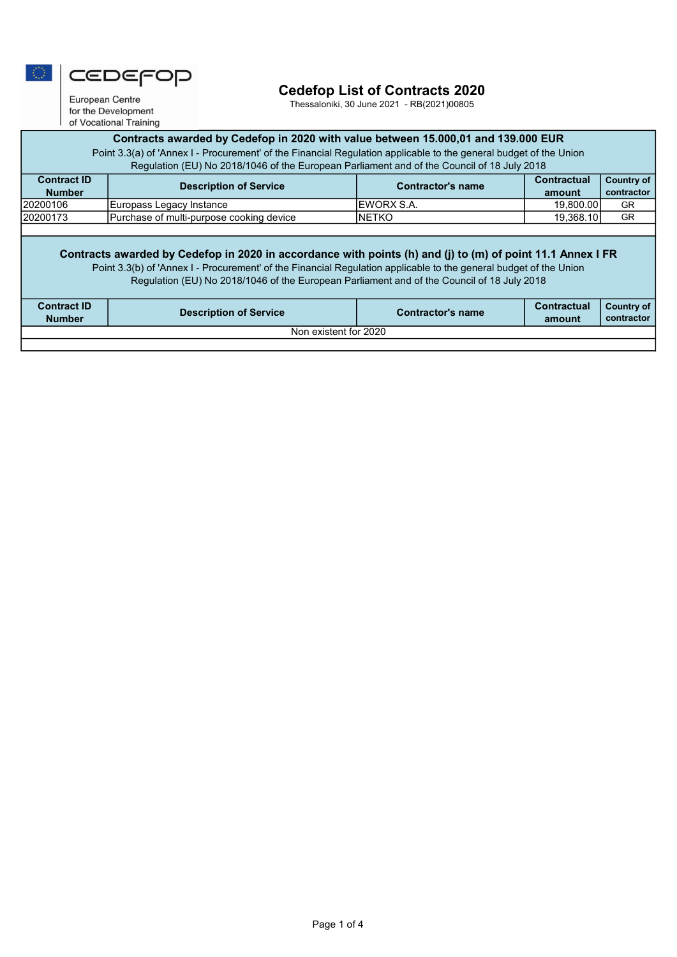

# Cedefop List of Contracts 2020

Thessaloniki, 30 June 2021 - RB(2021)00805

European Centre for the Development of Vocational Training

## Contracts awarded by Cedefop in 2020 with value between 15.000,01 and 139.000 EUR

Point 3.3(a) of 'Annex I - Procurement' of the Financial Regulation applicable to the general budget of the Union Regulation (EU) No 2018/1046 of the European Parliament and of the Council of 18 July 2018

| <b>Contract ID</b><br><b>Number</b> | Description of Service                   | Contractor's name  | <b>Contractual</b><br>amount | Country of<br>contractor |
|-------------------------------------|------------------------------------------|--------------------|------------------------------|--------------------------|
| 20200106                            | Europass Legacy Instance                 | <b>IEWORX S.A.</b> | 19.800.00                    | GR                       |
| 20200173                            | Purchase of multi-purpose cooking device | INETKO             | 19.368.10                    | GR                       |
|                                     |                                          |                    |                              |                          |

#### Contracts awarded by Cedefop in 2020 in accordance with points (h) and (j) to (m) of point 11.1 Annex I FR

Point 3.3(b) of 'Annex I - Procurement' of the Financial Regulation applicable to the general budget of the Union

Regulation (EU) No 2018/1046 of the European Parliament and of the Council of 18 July 2018

| <b>Contract ID</b><br><b>Number</b> | <b>Description of Service</b> | Contractor's name | <b>Contractual</b><br>amount | Country of 1<br>contractor |  |
|-------------------------------------|-------------------------------|-------------------|------------------------------|----------------------------|--|
| Non existent for 2020               |                               |                   |                              |                            |  |
|                                     |                               |                   |                              |                            |  |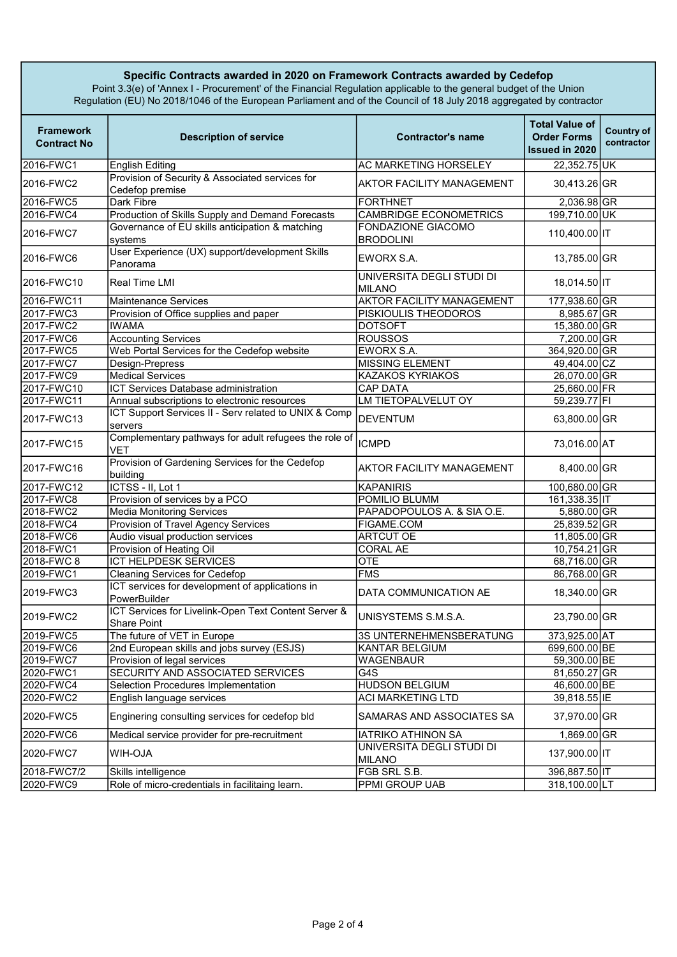### Specific Contracts awarded in 2020 on Framework Contracts awarded by Cedefop

Point 3.3(e) of 'Annex I - Procurement' of the Financial Regulation applicable to the general budget of the Union Regulation (EU) No 2018/1046 of the European Parliament and of the Council of 18 July 2018 aggregated by contractor

| <b>Framework</b><br><b>Contract No</b> | <b>Description of service</b>                                              | <b>Contractor's name</b>                   | <b>Total Value of</b><br><b>Order Forms</b><br><b>Issued in 2020</b> | <b>Country of</b><br>contractor |
|----------------------------------------|----------------------------------------------------------------------------|--------------------------------------------|----------------------------------------------------------------------|---------------------------------|
| 2016-FWC1                              | <b>English Editing</b>                                                     | AC MARKETING HORSELEY                      | 22,352.75 UK                                                         |                                 |
| 2016-FWC2                              | Provision of Security & Associated services for<br>Cedefop premise         | <b>AKTOR FACILITY MANAGEMENT</b>           | 30,413.26 GR                                                         |                                 |
| 2016-FWC5                              | Dark Fibre                                                                 | <b>FORTHNET</b>                            | 2,036.98 GR                                                          |                                 |
| 2016-FWC4                              | Production of Skills Supply and Demand Forecasts                           | <b>CAMBRIDGE ECONOMETRICS</b>              | 199,710.00 UK                                                        |                                 |
| 2016-FWC7                              | Governance of EU skills anticipation & matching<br>systems                 | FONDAZIONE GIACOMO<br><b>BRODOLINI</b>     | 110,400.00 IT                                                        |                                 |
| 2016-FWC6                              | User Experience (UX) support/development Skills<br>Panorama                | EWORX S.A.                                 | 13,785.00 GR                                                         |                                 |
| l2016-FWC10                            | Real Time LMI                                                              | UNIVERSITA DEGLI STUDI DI<br><b>MILANO</b> | 18,014.50 IT                                                         |                                 |
| 2016-FWC11                             | <b>Maintenance Services</b>                                                | <b>AKTOR FACILITY MANAGEMENT</b>           | 177,938.60 GR                                                        |                                 |
| 2017-FWC3                              | Provision of Office supplies and paper                                     | PISKIOULIS THEODOROS                       | 8,985.67 GR                                                          |                                 |
| 2017-FWC2                              | <b>IWAMA</b>                                                               | <b>DOTSOFT</b>                             | 15,380.00 GR                                                         |                                 |
| 2017-FWC6                              | <b>Accounting Services</b>                                                 | <b>ROUSSOS</b>                             | 7,200.00 GR                                                          |                                 |
| 2017-FWC5                              | Web Portal Services for the Cedefop website                                | EWORX S.A.                                 | 364,920.00 GR                                                        |                                 |
| 2017-FWC7                              | Design-Prepress                                                            | <b>MISSING ELEMENT</b>                     | 49,404.00 CZ                                                         |                                 |
| 2017-FWC9                              | <b>Medical Services</b>                                                    | <b>KAZAKOS KYRIAKOS</b>                    | 26,070.00 GR                                                         |                                 |
| 2017-FWC10                             | <b>ICT Services Database administration</b>                                | <b>CAP DATA</b>                            | 25,660.00 FR                                                         |                                 |
| 2017-FWC11                             | Annual subscriptions to electronic resources                               | LM TIETOPALVELUT OY                        | 59,239.77 FI                                                         |                                 |
| 2017-FWC13                             | ICT Support Services II - Serv related to UNIX & Comp<br>servers           | <b>DEVENTUM</b>                            | 63,800.00 GR                                                         |                                 |
| 2017-FWC15                             | Complementary pathways for adult refugees the role of<br>VET               | <b>ICMPD</b>                               | 73,016.00 AT                                                         |                                 |
| 2017-FWC16                             | Provision of Gardening Services for the Cedefop<br>building                | <b>AKTOR FACILITY MANAGEMENT</b>           | 8,400.00 GR                                                          |                                 |
| 2017-FWC12                             | ICTSS - II, Lot 1                                                          | <b>KAPANIRIS</b>                           | 100,680.00 GR                                                        |                                 |
| 2017-FWC8                              | Provision of services by a PCO                                             | POMILIO BLUMM                              | 161,338.35 IT                                                        |                                 |
| 2018-FWC2                              | <b>Media Monitoring Services</b>                                           | PAPADOPOULOS A. & SIA O.E.                 | 5,880.00 GR                                                          |                                 |
| 2018-FWC4                              | Provision of Travel Agency Services                                        | FIGAME.COM                                 | 25,839.52 GR                                                         |                                 |
| 2018-FWC6                              | Audio visual production services                                           | <b>ARTCUT OE</b>                           | 11,805.00 GR                                                         |                                 |
| 2018-FWC1                              | Provision of Heating Oil                                                   | <b>CORAL AE</b>                            | 10,754.21 GR                                                         |                                 |
| 2018-FWC 8                             | <b>ICT HELPDESK SERVICES</b>                                               | <b>OTE</b>                                 | 68,716.00 GR                                                         |                                 |
| 2019-FWC1                              | <b>Cleaning Services for Cedefop</b>                                       | <b>FMS</b>                                 | 86,768.00 GR                                                         |                                 |
| 2019-FWC3                              | ICT services for development of applications in<br>PowerBuilder            | DATA COMMUNICATION AE                      | 18,340.00 GR                                                         |                                 |
| 2019-FWC2                              | ICT Services for Livelink-Open Text Content Server &<br><b>Share Point</b> | UNISYSTEMS S.M.S.A.                        | 23,790.00 GR                                                         |                                 |
| 2019-FWC5                              | The future of VET in Europe                                                | 3S UNTERNEHMENSBERATUNG                    | 373,925.00 AT                                                        |                                 |
| 2019-FWC6                              | 2nd European skills and jobs survey (ESJS)                                 | KANTAR BELGIUM                             | 699,600.00 BE                                                        |                                 |
| 2019-FWC7                              | Provision of legal services                                                | WAGENBAUR                                  | 59,300.00 BE                                                         |                                 |
| 2020-FWC1                              | SECURITY AND ASSOCIATED SERVICES                                           | G4S                                        | 81,650.27 GR                                                         |                                 |
| 2020-FWC4                              | Selection Procedures Implementation                                        | <b>HUDSON BELGIUM</b>                      | 46,600.00 BE                                                         |                                 |
| 2020-FWC2                              | English language services                                                  | <b>ACI MARKETING LTD</b>                   | 39,818.55 IE                                                         |                                 |
| 2020-FWC5                              | Enginering consulting services for cedefop bld                             | SAMARAS AND ASSOCIATES SA                  | 37,970.00 GR                                                         |                                 |
| 2020-FWC6                              | Medical service provider for pre-recruitment                               | <b>IATRIKO ATHINON SA</b>                  | 1,869.00 GR                                                          |                                 |
| 2020-FWC7                              | <b>NLO-HIW</b>                                                             | UNIVERSITA DEGLI STUDI DI<br><b>MILANO</b> | 137,900.00 IT                                                        |                                 |
| 2018-FWC7/2                            | Skills intelligence                                                        | FGB SRL S.B.                               | 396,887.50 IT                                                        |                                 |
| 2020-FWC9                              | Role of micro-credentials in facilitaing learn.                            | <b>PPMI GROUP UAB</b>                      | 318,100.00 LT                                                        |                                 |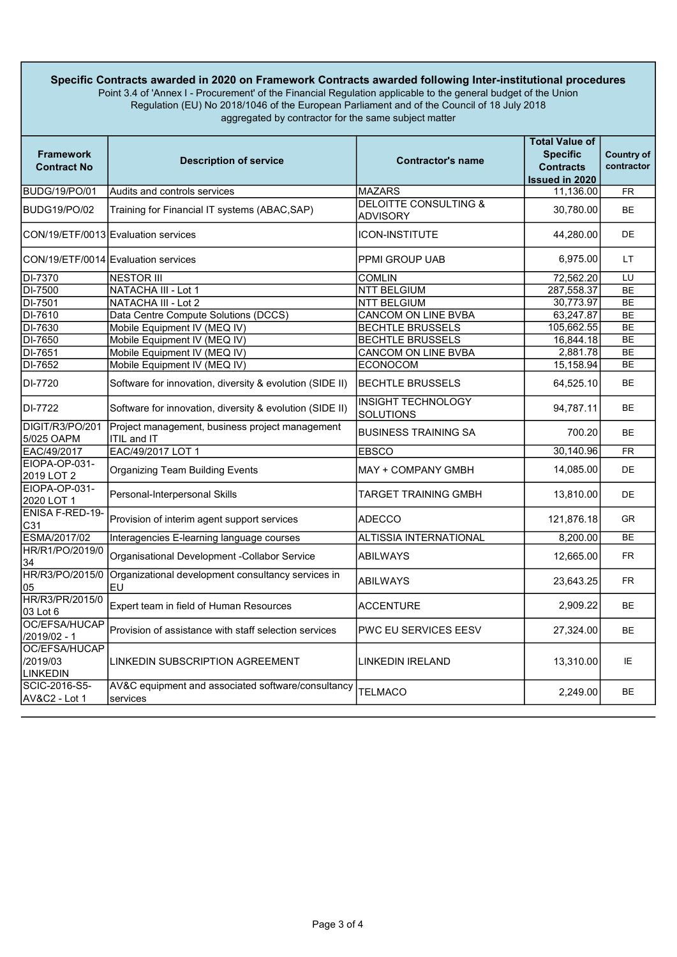#### Specific Contracts awarded in 2020 on Framework Contracts awarded following Inter-institutional procedures Point 3.4 of 'Annex I - Procurement' of the Financial Regulation applicable to the general budget of the Union Regulation (EU) No 2018/1046 of the European Parliament and of the Council of 18 July 2018 aggregated by contractor for the same subject matter

| <b>Framework</b><br><b>Contract No</b>       | <b>Description of service</b>                                            | <b>Contractor's name</b>                            | <b>Total Value of</b><br><b>Specific</b><br><b>Contracts</b><br><b>Issued in 2020</b> | <b>Country of</b><br>contractor |
|----------------------------------------------|--------------------------------------------------------------------------|-----------------------------------------------------|---------------------------------------------------------------------------------------|---------------------------------|
| BUDG/19/PO/01                                | Audits and controls services                                             | <b>MAZARS</b>                                       | 11,136.00                                                                             | <b>FR</b>                       |
| <b>BUDG19/PO/02</b>                          | Training for Financial IT systems (ABAC, SAP)                            | <b>DELOITTE CONSULTING &amp;</b><br><b>ADVISORY</b> | 30,780.00                                                                             | BE                              |
|                                              | CON/19/ETF/0013 Evaluation services                                      | <b>ICON-INSTITUTE</b>                               | 44,280.00                                                                             | <b>DE</b>                       |
|                                              | CON/19/ETF/0014 Evaluation services                                      | <b>PPMI GROUP UAB</b>                               | 6,975.00                                                                              | LT.                             |
| DI-7370                                      | <b>NESTOR III</b>                                                        | <b>COMLIN</b>                                       | 72,562.20                                                                             | LU                              |
| DI-7500                                      | NATACHA III - Lot 1                                                      | <b>NTT BELGIUM</b>                                  | 287,558.37                                                                            | <b>BE</b>                       |
| DI-7501                                      | <b>NATACHA III - Lot 2</b>                                               | <b>NTT BELGIUM</b>                                  | 30,773.97                                                                             | <b>BE</b>                       |
| DI-7610                                      | Data Centre Compute Solutions (DCCS)                                     | <b>CANCOM ON LINE BVBA</b>                          | 63.247.87                                                                             | <b>BE</b>                       |
| DI-7630                                      | Mobile Equipment IV (MEQ IV)                                             | <b>BECHTLE BRUSSELS</b>                             | 105,662.55                                                                            | <b>BE</b>                       |
| DI-7650                                      | Mobile Equipment IV (MEQ IV)                                             | <b>BECHTLE BRUSSELS</b>                             | 16,844.18                                                                             | <b>BE</b>                       |
| DI-7651                                      | Mobile Equipment IV (MEQ IV)                                             | <b>CANCOM ON LINE BVBA</b>                          | 2,881.78                                                                              | <b>BE</b>                       |
| DI-7652                                      | Mobile Equipment IV (MEQ IV)                                             | <b>ECONOCOM</b>                                     | 15,158.94                                                                             | <b>BE</b>                       |
| DI-7720                                      | Software for innovation, diversity & evolution (SIDE II)                 | <b>BECHTLE BRUSSELS</b>                             | 64,525.10                                                                             | <b>BE</b>                       |
| DI-7722                                      | Software for innovation, diversity & evolution (SIDE II)                 | <b>INSIGHT TECHNOLOGY</b><br><b>SOLUTIONS</b>       | 94,787.11                                                                             | <b>BE</b>                       |
| DIGIT/R3/PO/201<br>5/025 OAPM                | Project management, business project management<br><b>ITIL and IT</b>    | <b>BUSINESS TRAINING SA</b>                         | 700.20                                                                                | BE                              |
| EAC/49/2017                                  | EAC/49/2017 LOT 1                                                        | <b>EBSCO</b>                                        | 30,140.96                                                                             | <b>FR</b>                       |
| EIOPA-OP-031-<br>2019 LOT 2                  | <b>Organizing Team Building Events</b>                                   | <b>MAY + COMPANY GMBH</b>                           | 14,085.00                                                                             | DE                              |
| EIOPA-OP-031-<br>2020 LOT 1                  | Personal-Interpersonal Skills                                            | TARGET TRAINING GMBH                                | 13,810.00                                                                             | <b>DE</b>                       |
| ENISA F-RED-19-<br>C31                       | Provision of interim agent support services                              | <b>ADECCO</b>                                       | 121,876.18                                                                            | <b>GR</b>                       |
| ESMA/2017/02                                 | Interagencies E-learning language courses                                | ALTISSIA INTERNATIONAL                              | 8,200.00                                                                              | <b>BE</b>                       |
| HR/R1/PO/2019/0<br>34                        | Organisational Development - Collabor Service                            | <b>ABILWAYS</b>                                     | 12,665.00                                                                             | <b>FR</b>                       |
| 05                                           | HR/R3/PO/2015/0 Organizational development consultancy services in<br>EU | <b>ABILWAYS</b>                                     | 23,643.25                                                                             | <b>FR</b>                       |
| HR/R3/PR/2015/0<br>03 Lot 6                  | Expert team in field of Human Resources                                  | <b>ACCENTURE</b>                                    | 2,909.22                                                                              | ВE                              |
| OC/EFSA/HUCAP<br>/2019/02 - 1                | Provision of assistance with staff selection services                    | <b>PWC EU SERVICES EESV</b>                         | 27,324.00                                                                             | <b>BE</b>                       |
| OC/EFSA/HUCAP<br>/2019/03<br><b>LINKEDIN</b> | LINKEDIN SUBSCRIPTION AGREEMENT                                          | LINKEDIN IRELAND                                    | 13,310.00                                                                             | ΙE                              |
| SCIC-2016-S5-<br>AV&C2 - Lot 1               | AV&C equipment and associated software/consultancy<br>services           | <b>TELMACO</b>                                      | 2,249.00                                                                              | <b>BE</b>                       |